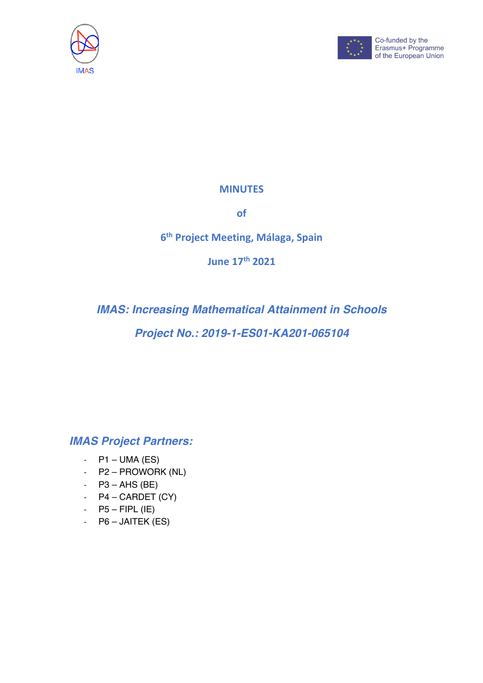



## **MINUTES**

**of**

# **6th Project Meeting, Málaga, Spain**

**June 17th 2021**

*IMAS: Increasing Mathematical Attainment in Schools Project No.: 2019-1-ES01-KA201-065104*

*IMAS Project Partners:*

- $P1 UMA (ES)$
- P2 PROWORK (NL)
- $-$  P3 AHS (BE)
- $P4 CARDET (CY)$
- $-$  P5 FIPL (IE)
- P6 JAITEK (ES)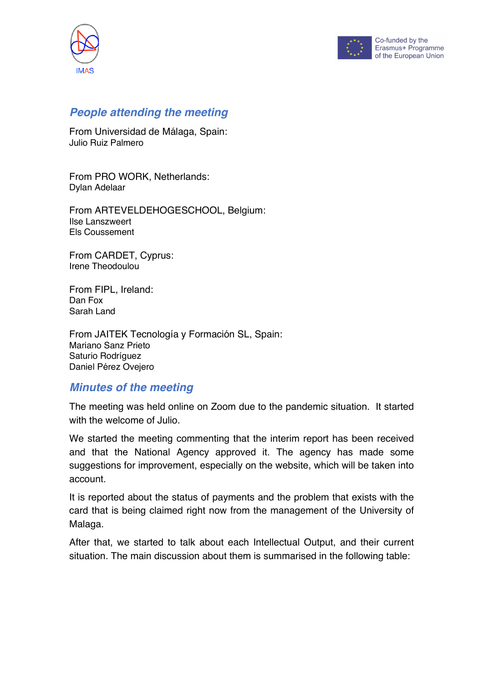



## *People attending the meeting*

From Universidad de Málaga, Spain: Julio Ruiz Palmero

From PRO WORK, Netherlands: Dylan Adelaar

From ARTEVELDEHOGESCHOOL, Belgium: Ilse Lanszweert Els Coussement

From CARDET, Cyprus: Irene Theodoulou

From FIPL, Ireland: Dan Fox Sarah Land

From JAITEK Tecnología y Formación SL, Spain: Mariano Sanz Prieto Saturio Rodríguez Daniel Pérez Ovejero

### *Minutes of the meeting*

The meeting was held online on Zoom due to the pandemic situation. It started with the welcome of Julio.

We started the meeting commenting that the interim report has been received and that the National Agency approved it. The agency has made some suggestions for improvement, especially on the website, which will be taken into account.

It is reported about the status of payments and the problem that exists with the card that is being claimed right now from the management of the University of Malaga.

After that, we started to talk about each Intellectual Output, and their current situation. The main discussion about them is summarised in the following table: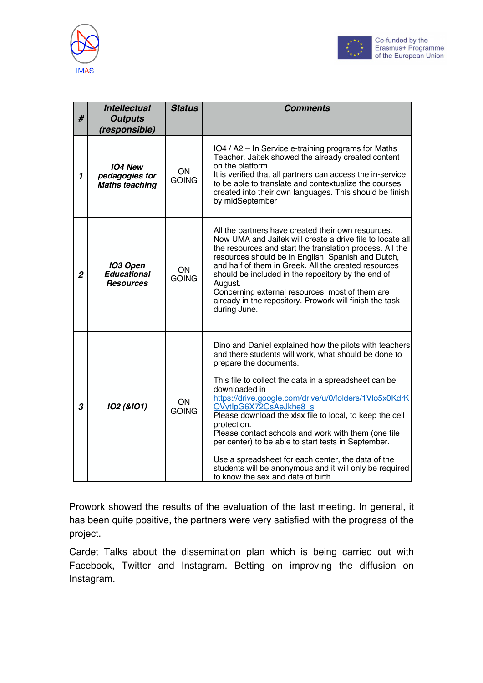



| #              | <b>Intellectual</b><br><b>Outputs</b><br>(responsible)    | <b>Status</b>      | <b>Comments</b>                                                                                                                                                                                                                                                                                                                                                                                                                                                                                                                                                                                                                                       |
|----------------|-----------------------------------------------------------|--------------------|-------------------------------------------------------------------------------------------------------------------------------------------------------------------------------------------------------------------------------------------------------------------------------------------------------------------------------------------------------------------------------------------------------------------------------------------------------------------------------------------------------------------------------------------------------------------------------------------------------------------------------------------------------|
| $\mathbf{1}$   | <b>IO4 New</b><br>pedagogies for<br><b>Maths teaching</b> | ON<br><b>GOING</b> | IO4 / A2 - In Service e-training programs for Maths<br>Teacher. Jaitek showed the already created content<br>on the platform.<br>It is verified that all partners can access the in-service<br>to be able to translate and contextualize the courses<br>created into their own languages. This should be finish<br>by midSeptember                                                                                                                                                                                                                                                                                                                    |
| $\overline{2}$ | <b>IO3 Open</b><br><b>Educational</b><br><b>Resources</b> | ON<br><b>GOING</b> | All the partners have created their own resources.<br>Now UMA and Jaitek will create a drive file to locate all<br>the resources and start the translation process. All the<br>resources should be in English, Spanish and Dutch,<br>and half of them in Greek. All the created resources<br>should be included in the repository by the end of<br>August.<br>Concerning external resources, most of them are<br>already in the repository. Prowork will finish the task<br>during June.                                                                                                                                                              |
| 3              | 102 (&101)                                                | ON<br><b>GOING</b> | Dino and Daniel explained how the pilots with teachers<br>and there students will work, what should be done to<br>prepare the documents.<br>This file to collect the data in a spreadsheet can be<br>downloaded in<br>https://drive.google.com/drive/u/0/folders/1Vlo5x0KdrK<br>QVytlpG6X72OsAeJkhe8 s<br>Please download the xlsx file to local, to keep the cell<br>protection.<br>Please contact schools and work with them (one file<br>per center) to be able to start tests in September.<br>Use a spreadsheet for each center, the data of the<br>students will be anonymous and it will only be required<br>to know the sex and date of birth |

Prowork showed the results of the evaluation of the last meeting. In general, it has been quite positive, the partners were very satisfied with the progress of the project.

Cardet Talks about the dissemination plan which is being carried out with Facebook, Twitter and Instagram. Betting on improving the diffusion on Instagram.